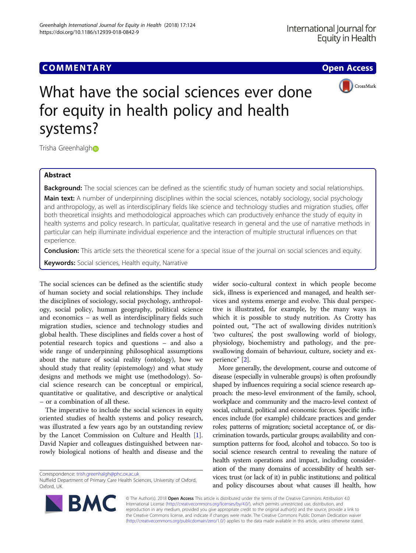# **COMMENTARY COMMENTARY Open Access**



# What have the social sciences ever done for equity in health policy and health systems?

Trisha Greenhalgh<sup>®</sup>

# Abstract

Background: The social sciences can be defined as the scientific study of human society and social relationships.

Main text: A number of underpinning disciplines within the social sciences, notably sociology, social psychology and anthropology, as well as interdisciplinary fields like science and technology studies and migration studies, offer both theoretical insights and methodological approaches which can productively enhance the study of equity in health systems and policy research. In particular, qualitative research in general and the use of narrative methods in particular can help illuminate individual experience and the interaction of multiple structural influences on that experience.

Conclusion: This article sets the theoretical scene for a special issue of the journal on social sciences and equity.

**Keywords:** Social sciences, Health equity, Narrative

The social sciences can be defined as the scientific study of human society and social relationships. They include the disciplines of sociology, social psychology, anthropology, social policy, human geography, political science and economics – as well as interdisciplinary fields such migration studies, science and technology studies and global health. These disciplines and fields cover a host of potential research topics and questions – and also a wide range of underpinning philosophical assumptions about the nature of social reality (ontology), how we should study that reality (epistemology) and what study designs and methods we might use (methodology). Social science research can be conceptual or empirical, quantitative or qualitative, and descriptive or analytical – or a combination of all these.

The imperative to include the social sciences in equity oriented studies of health systems and policy research, was illustrated a few years ago by an outstanding review by the Lancet Commission on Culture and Health [\[1](#page-2-0)]. David Napier and colleagues distinguished between narrowly biological notions of health and disease and the

Correspondence: [trish.greenhalgh@phc.ox.ac.uk](mailto:trish.greenhalgh@phc.ox.ac.uk)

wider socio-cultural context in which people become sick, illness is experienced and managed, and health services and systems emerge and evolve. This dual perspective is illustrated, for example, by the many ways in which it is possible to study nutrition. As Crotty has pointed out, "The act of swallowing divides nutrition's 'two cultures', the post swallowing world of biology, physiology, biochemistry and pathology, and the preswallowing domain of behaviour, culture, society and experience" [[2\]](#page-2-0).

More generally, the development, course and outcome of disease (especially in vulnerable groups) is often profoundly shaped by influences requiring a social science research approach: the meso-level environment of the family, school, workplace and community and the macro-level context of social, cultural, political and economic forces. Specific influences include (for example) childcare practices and gender roles; patterns of migration; societal acceptance of, or discrimination towards, particular groups; availability and consumption patterns for food, alcohol and tobacco. So too is social science research central to revealing the nature of health system operations and impact, including consideration of the many domains of accessibility of health services; trust (or lack of it) in public institutions; and political and policy discourses about what causes ill health, how



© The Author(s). 2018 Open Access This article is distributed under the terms of the Creative Commons Attribution 4.0 International License [\(http://creativecommons.org/licenses/by/4.0/](http://creativecommons.org/licenses/by/4.0/)), which permits unrestricted use, distribution, and reproduction in any medium, provided you give appropriate credit to the original author(s) and the source, provide a link to the Creative Commons license, and indicate if changes were made. The Creative Commons Public Domain Dedication waiver [\(http://creativecommons.org/publicdomain/zero/1.0/](http://creativecommons.org/publicdomain/zero/1.0/)) applies to the data made available in this article, unless otherwise stated.

Nuffield Department of Primary Care Health Sciences, University of Oxford, Oxford, UK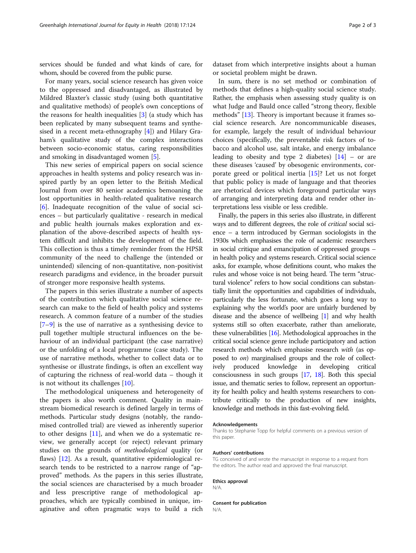services should be funded and what kinds of care, for whom, should be covered from the public purse.

For many years, social science research has given voice to the oppressed and disadvantaged, as illustrated by Mildred Blaxter's classic study (using both quantitative and qualitative methods) of people's own conceptions of the reasons for health inequalities [\[3](#page-2-0)] (a study which has been replicated by many subsequent teams and synthesised in a recent meta-ethnography [[4\]](#page-2-0)) and Hilary Graham's qualitative study of the complex interactions between socio-economic status, caring responsibilities and smoking in disadvantaged women [[5](#page-2-0)].

This new series of empirical papers on social science approaches in health systems and policy research was inspired partly by an open letter to the British Medical Journal from over 80 senior academics bemoaning the lost opportunities in health-related qualitative research [[6\]](#page-2-0). Inadequate recognition of the value of social sciences – but particularly qualitative - research in medical and public health journals makes exploration and explanation of the above-described aspects of health system difficult and inhibits the development of the field. This collection is thus a timely reminder from the HPSR community of the need to challenge the (intended or unintended) silencing of non-quantitative, non-positivist research paradigms and evidence, in the broader pursuit of stronger more responsive health systems.

The papers in this series illustrate a number of aspects of the contribution which qualitative social science research can make to the field of health policy and systems research. A common feature of a number of the studies [[7](#page-2-0)–[9\]](#page-2-0) is the use of narrative as a synthesising device to pull together multiple structural influences on the behaviour of an individual participant (the case narrative) or the unfolding of a local programme (case study). The use of narrative methods, whether to collect data or to synthesise or illustrate findings, is often an excellent way of capturing the richness of real-world data – though it is not without its challenges [[10](#page-2-0)].

The methodological uniqueness and heterogeneity of the papers is also worth comment. Quality in mainstream biomedical research is defined largely in terms of methods. Particular study designs (notably, the randomised controlled trial) are viewed as inherently superior to other designs [\[11](#page-2-0)], and when we do a systematic review, we generally accept (or reject) relevant primary studies on the grounds of methodological quality (or flaws) [\[12](#page-2-0)]. As a result, quantitative epidemiological research tends to be restricted to a narrow range of "approved" methods. As the papers in this series illustrate, the social sciences are characterised by a much broader and less prescriptive range of methodological approaches, which are typically combined in unique, imaginative and often pragmatic ways to build a rich

dataset from which interpretive insights about a human or societal problem might be drawn.

In sum, there is no set method or combination of methods that defines a high-quality social science study. Rather, the emphasis when assessing study quality is on what Judge and Bauld once called "strong theory, flexible methods" [[13](#page-2-0)]. Theory is important because it frames social science research. Are noncommunicable diseases, for example, largely the result of individual behaviour choices (specifically, the preventable risk factors of tobacco and alcohol use, salt intake, and energy imbalance leading to obesity and type 2 diabetes)  $[14]$  – or are these diseases 'caused' by obesogenic environments, corporate greed or political inertia [[15\]](#page-2-0)? Let us not forget that public policy is made of language and that theories are rhetorical devices which foreground particular ways of arranging and interpreting data and render other interpretations less visible or less credible.

Finally, the papers in this series also illustrate, in different ways and to different degrees, the role of critical social science – a term introduced by German sociologists in the 1930s which emphasises the role of academic researchers in social critique and emancipation of oppressed groups – in health policy and systems research. Critical social science asks, for example, whose definitions count, who makes the rules and whose voice is not being heard. The term "structural violence" refers to how social conditions can substantially limit the opportunities and capabilities of individuals, particularly the less fortunate, which goes a long way to explaining why the world's poor are unfairly burdened by disease and the absence of wellbeing [\[1\]](#page-2-0) and why health systems still so often exacerbate, rather than ameliorate, these vulnerabilities [[16](#page-2-0)]. Methodological approaches in the critical social science genre include participatory and action research methods which emphasise research with (as opposed to on) marginalised groups and the role of collectively produced knowledge in developing critical consciousness in such groups [\[17,](#page-2-0) [18\]](#page-2-0). Both this special issue, and thematic series to follow, represent an opportunity for health policy and health systems researchers to contribute critically to the production of new insights, knowledge and methods in this fast-evolving field.

#### Acknowledgements

Thanks to Stephanie Topp for helpful comments on a previous version of this paper.

#### Authors' contributions

TG conceived of and wrote the manuscript in response to a request from the editors. The author read and approved the final manuscript.

#### Ethics approval

N/A.

#### Consent for publication N/A.